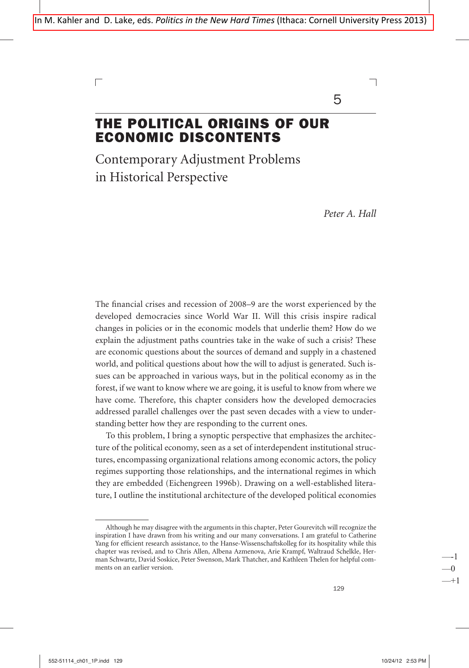5

# **THE POLITICAL ORIGINS OF OUR ECONOMIC DISCONTENTS**

Contemporary Adjustment Problems in Historical Perspective

*Peter A. Hall*

The financial crises and recession of 2008–9 are the worst experienced by the developed democracies since World War II. Will this crisis inspire radical changes in policies or in the economic models that underlie them? How do we explain the adjustment paths countries take in the wake of such a crisis? These are economic questions about the sources of demand and supply in a chastened world, and political questions about how the will to adjust is generated. Such issues can be approached in various ways, but in the political economy as in the forest, if we want to know where we are going, it is useful to know from where we have come. Therefore, this chapter considers how the developed democracies addressed parallel challenges over the past seven decades with a view to understanding better how they are responding to the current ones. Fin M. Kahler and D. Lake, eds. *Politics* in the New Hard Times (Ithust: Cornell University Press 2013)<br>
THE POLITICAL ORIGINS OF OUR<br>
ECONOMIC DISCONTENTS<br>
Contemporary Adjustment Problems<br>
in Historical Perspective<br>
Pe

To this problem, I bring a synoptic perspective that emphasizes the architecture of the political economy, seen as a set of interdependent institutional structures, encompassing organizational relations among economic actors, the policy regimes supporting those relationships, and the international regimes in which they are embedded (Eichengreen 1996b). Drawing on a well-established literature, I outline the institutional architecture of the developed political economies

Although he may disagree with the arguments in this chapter, Peter Gourevitch will recognize the inspiration I have drawn from his writing and our many conversations. I am grateful to Catherine Yang for efficient research assistance, to the Hanse-Wissenschaftskolleg for its hospitality while this chapter was revised, and to Chris Allen, Albena Azmenova, Arie Krampf, Waltraud Schelkle, Herman Schwartz, David Soskice, Peter Swenson, Mark Thatcher, and Kathleen Thelen for helpful comments on an earlier version.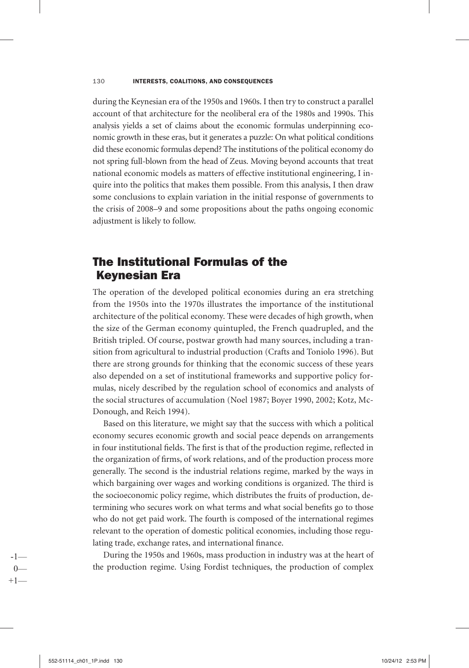during the Keynesian era of the 1950s and 1960s. I then try to construct a parallel account of that architecture for the neoliberal era of the 1980s and 1990s. This analysis yields a set of claims about the economic formulas underpinning economic growth in these eras, but it generates a puzzle: On what political conditions did these economic formulas depend? The institutions of the political economy do not spring full- blown from the head of Zeus. Moving beyond accounts that treat national economic models as matters of effective institutional engineering, I inquire into the politics that makes them possible. From this analysis, I then draw some conclusions to explain variation in the initial response of governments to the crisis of 2008–9 and some propositions about the paths ongoing economic adjustment is likely to follow.

# **The Institutional Formulas of the Keynesian Era**

The operation of the developed political economies during an era stretching from the 1950s into the 1970s illustrates the importance of the institutional architecture of the political economy. These were decades of high growth, when the size of the German economy quintupled, the French quadrupled, and the British tripled. Of course, postwar growth had many sources, including a transition from agricultural to industrial production (Crafts and Toniolo 1996). But there are strong grounds for thinking that the economic success of these years also depended on a set of institutional frameworks and supportive policy formulas, nicely described by the regulation school of economics and analysts of the social structures of accumulation (Noel 1987; Boyer 1990, 2002; Kotz, Mc-Donough, and Reich 1994).

Based on this literature, we might say that the success with which a political economy secures economic growth and social peace depends on arrangements in four institutional fields. The first is that of the production regime, reflected in the organization of firms, of work relations, and of the production process more generally. The second is the industrial relations regime, marked by the ways in which bargaining over wages and working conditions is organized. The third is the socioeconomic policy regime, which distributes the fruits of production, determining who secures work on what terms and what social benefits go to those who do not get paid work. The fourth is composed of the international regimes relevant to the operation of domestic political economies, including those regulating trade, exchange rates, and international finance.

During the 1950s and 1960s, mass production in industry was at the heart of the production regime. Using Fordist techniques, the production of complex

-1—  $0 +1-$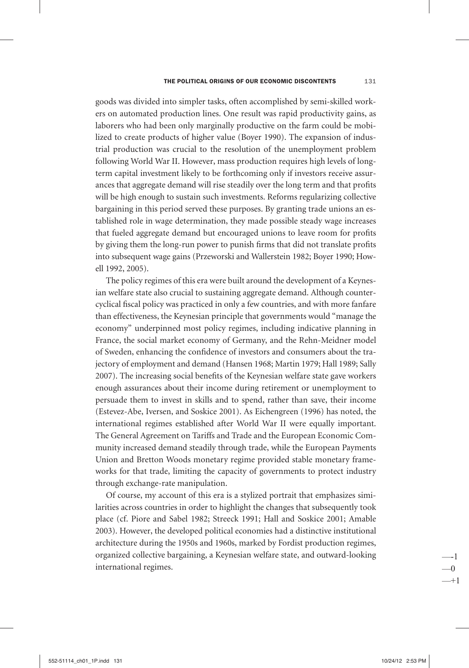## **THE POLITICAL ORIGINS OF OUR ECONOMIC DISCONTENTS** 131

goods was divided into simpler tasks, often accomplished by semi- skilled workers on automated production lines. One result was rapid productivity gains, as laborers who had been only marginally productive on the farm could be mobilized to create products of higher value (Boyer 1990). The expansion of industrial production was crucial to the resolution of the unemployment problem following World War II. However, mass production requires high levels of longterm capital investment likely to be forthcoming only if investors receive assurances that aggregate demand will rise steadily over the long term and that profits will be high enough to sustain such investments. Reforms regularizing collective bargaining in this period served these purposes. By granting trade unions an established role in wage determination, they made possible steady wage increases that fueled aggregate demand but encouraged unions to leave room for profits by giving them the long-run power to punish firms that did not translate profits into subsequent wage gains (Przeworski and Wallerstein 1982; Boyer 1990; Howell 1992, 2005).

The policy regimes of this era were built around the development of a Keynesian welfare state also crucial to sustaining aggregate demand. Although countercyclical fiscal policy was practiced in only a few countries, and with more fanfare than effectiveness, the Keynesian principle that governments would "manage the economy" underpinned most policy regimes, including indicative planning in France, the social market economy of Germany, and the Rehn- Meidner model of Sweden, enhancing the confidence of investors and consumers about the trajectory of employment and demand (Hansen 1968; Martin 1979; Hall 1989; Sally 2007). The increasing social benefits of the Keynesian welfare state gave workers enough assurances about their income during retirement or unemployment to persuade them to invest in skills and to spend, rather than save, their income (Estevez- Abe, Iversen, and Soskice 2001). As Eichengreen (1996) has noted, the international regimes established after World War II were equally important. The General Agreement on Tariffs and Trade and the European Economic Community increased demand steadily through trade, while the European Payments Union and Bretton Woods monetary regime provided stable monetary frameworks for that trade, limiting the capacity of governments to protect industry through exchange-rate manipulation.

Of course, my account of this era is a stylized portrait that emphasizes similarities across countries in order to highlight the changes that subsequently took place (cf. Piore and Sabel 1982; Streeck 1991; Hall and Soskice 2001; Amable 2003). However, the developed political economies had a distinctive institutional architecture during the 1950s and 1960s, marked by Fordist production regimes, organized collective bargaining, a Keynesian welfare state, and outward-looking international regimes.

552-51114\_ch01\_1P.indd 131 10/24/12 2:53 PM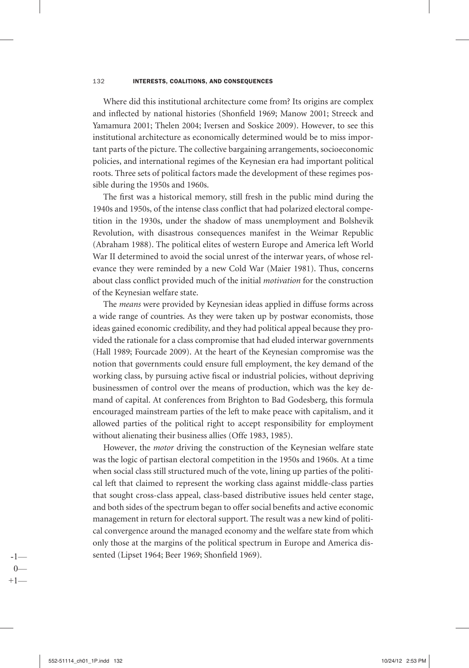Where did this institutional architecture come from? Its origins are complex and inflected by national histories (Shonfield 1969; Manow 2001; Streeck and Yamamura 2001; Thelen 2004; Iversen and Soskice 2009). However, to see this institutional architecture as economically determined would be to miss important parts of the picture. The collective bargaining arrangements, socioeconomic policies, and international regimes of the Keynesian era had important political roots. Three sets of political factors made the development of these regimes possible during the 1950s and 1960s.

The first was a historical memory, still fresh in the public mind during the 1940s and 1950s, of the intense class conflict that had polarized electoral competition in the 1930s, under the shadow of mass unemployment and Bolshevik Revolution, with disastrous consequences manifest in the Weimar Republic (Abraham 1988). The political elites of western Europe and America left World War II determined to avoid the social unrest of the interwar years, of whose relevance they were reminded by a new Cold War (Maier 1981). Thus, concerns about class conflict provided much of the initial *motivation* for the construction of the Keynesian welfare state.

The *means* were provided by Keynesian ideas applied in diffuse forms across a wide range of countries. As they were taken up by postwar economists, those ideas gained economic credibility, and they had political appeal because they provided the rationale for a class compromise that had eluded interwar governments (Hall 1989; Fourcade 2009). At the heart of the Keynesian compromise was the notion that governments could ensure full employment, the key demand of the working class, by pursuing active fiscal or industrial policies, without depriving businessmen of control over the means of production, which was the key demand of capital. At conferences from Brighton to Bad Godesberg, this formula encouraged mainstream parties of the left to make peace with capitalism, and it allowed parties of the political right to accept responsibility for employment without alienating their business allies (Offe 1983, 1985).

However, the *motor* driving the construction of the Keynesian welfare state was the logic of partisan electoral competition in the 1950s and 1960s. At a time when social class still structured much of the vote, lining up parties of the political left that claimed to represent the working class against middle- class parties that sought cross- class appeal, class- based distributive issues held center stage, and both sides of the spectrum began to offer social benefits and active economic management in return for electoral support. The result was a new kind of political convergence around the managed economy and the welfare state from which only those at the margins of the political spectrum in Europe and America dissented (Lipset 1964; Beer 1969; Shonfield 1969).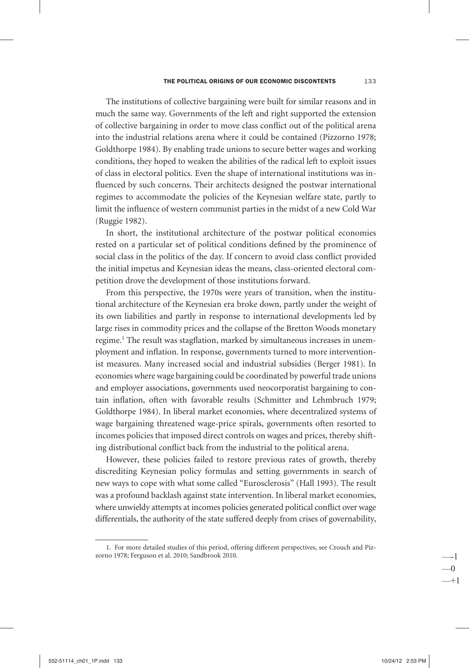## **THE POLITICAL ORIGINS OF OUR ECONOMIC DISCONTENTS** 133

The institutions of collective bargaining were built for similar reasons and in much the same way. Governments of the left and right supported the extension of collective bargaining in order to move class conflict out of the political arena into the industrial relations arena where it could be contained (Pizzorno 1978; Goldthorpe 1984). By enabling trade unions to secure better wages and working conditions, they hoped to weaken the abilities of the radical left to exploit issues of class in electoral politics. Even the shape of international institutions was influenced by such concerns. Their architects designed the postwar international regimes to accommodate the policies of the Keynesian welfare state, partly to limit the influence of western communist parties in the midst of a new Cold War (Ruggie 1982).

In short, the institutional architecture of the postwar political economies rested on a particular set of political conditions defined by the prominence of social class in the politics of the day. If concern to avoid class conflict provided the initial impetus and Keynesian ideas the means, class- oriented electoral competition drove the development of those institutions forward.

From this perspective, the 1970s were years of transition, when the institutional architecture of the Keynesian era broke down, partly under the weight of its own liabilities and partly in response to international developments led by large rises in commodity prices and the collapse of the Bretton Woods monetary regime.<sup>1</sup> The result was stagflation, marked by simultaneous increases in unemployment and inflation. In response, governments turned to more interventionist measures. Many increased social and industrial subsidies (Berger 1981). In economies where wage bargaining could be coordinated by powerful trade unions and employer associations, governments used neocorporatist bargaining to contain inflation, often with favorable results (Schmitter and Lehmbruch 1979; Goldthorpe 1984). In liberal market economies, where decentralized systems of wage bargaining threatened wage- price spirals, governments often resorted to incomes policies that imposed direct controls on wages and prices, thereby shifting distributional conflict back from the industrial to the political arena.

However, these policies failed to restore previous rates of growth, thereby discrediting Keynesian policy formulas and setting governments in search of new ways to cope with what some called "Eurosclerosis" (Hall 1993). The result was a profound backlash against state intervention. In liberal market economies, where unwieldy attempts at incomes policies generated political conflict over wage differentials, the authority of the state suffered deeply from crises of governability,

<sup>1.</sup> For more detailed studies of this period, offering different perspectives, see Crouch and Pizzorno 1978; Ferguson et al. 2010; Sandbrook 2010.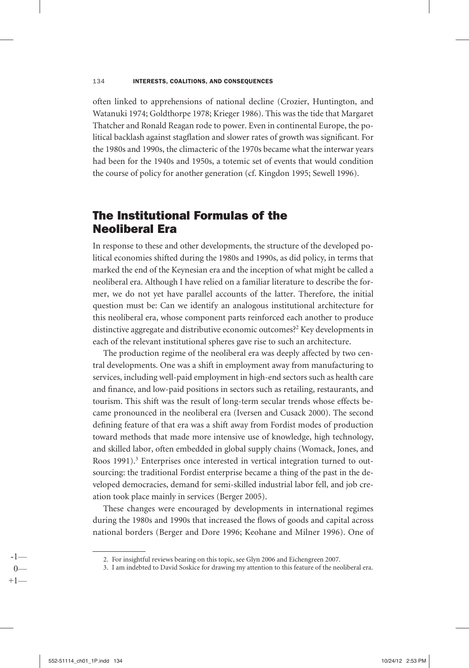often linked to apprehensions of national decline (Crozier, Huntington, and Watanuki 1974; Goldthorpe 1978; Krieger 1986). This was the tide that Margaret Thatcher and Ronald Reagan rode to power. Even in continental Europe, the political backlash against stagflation and slower rates of growth was significant. For the 1980s and 1990s, the climacteric of the 1970s became what the interwar years had been for the 1940s and 1950s, a totemic set of events that would condition the course of policy for another generation (cf. Kingdon 1995; Sewell 1996).

# **The Institutional Formulas of the Neoliberal Era**

In response to these and other developments, the structure of the developed political economies shifted during the 1980s and 1990s, as did policy, in terms that marked the end of the Keynesian era and the inception of what might be called a neoliberal era. Although I have relied on a familiar literature to describe the former, we do not yet have parallel accounts of the latter. Therefore, the initial question must be: Can we identify an analogous institutional architecture for this neoliberal era, whose component parts reinforced each another to produce distinctive aggregate and distributive economic outcomes?<sup>2</sup> Key developments in each of the relevant institutional spheres gave rise to such an architecture.

The production regime of the neoliberal era was deeply affected by two central developments. One was a shift in employment away from manufacturing to services, including well-paid employment in high- end sectors such as health care and finance, and low-paid positions in sectors such as retailing, restaurants, and tourism. This shift was the result of long- term secular trends whose effects became pronounced in the neoliberal era (Iversen and Cusack 2000). The second defining feature of that era was a shift away from Fordist modes of production toward methods that made more intensive use of knowledge, high technology, and skilled labor, often embedded in global supply chains (Womack, Jones, and Roos 1991).<sup>3</sup> Enterprises once interested in vertical integration turned to outsourcing: the traditional Fordist enterprise became a thing of the past in the developed democracies, demand for semi- skilled industrial labor fell, and job creation took place mainly in services (Berger 2005).

These changes were encouraged by developments in international regimes during the 1980s and 1990s that increased the flows of goods and capital across national borders (Berger and Dore 1996; Keohane and Milner 1996). One of

3. I am indebted to David Soskice for drawing my attention to this feature of the neoliberal era.

<sup>2.</sup> For insightful reviews bearing on this topic, see Glyn 2006 and Eichengreen 2007.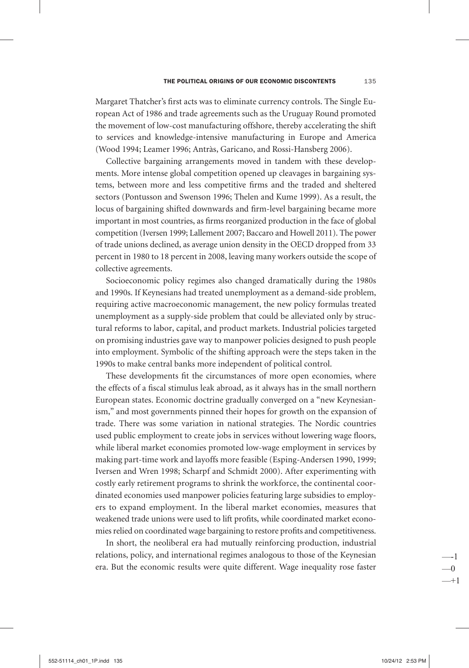Margaret Thatcher's first acts was to eliminate currency controls. The Single European Act of 1986 and trade agreements such as the Uruguay Round promoted the movement of low- cost manufacturing offshore, thereby accelerating the shift to services and knowledge-intensive manufacturing in Europe and America (Wood 1994; Leamer 1996; Antràs, Garicano, and Rossi- Hansberg 2006).

Collective bargaining arrangements moved in tandem with these developments. More intense global competition opened up cleavages in bargaining systems, between more and less competitive firms and the traded and sheltered sectors (Pontusson and Swenson 1996; Thelen and Kume 1999). As a result, the locus of bargaining shifted downwards and firm-level bargaining became more important in most countries, as firms reorganized production in the face of global competition (Iversen 1999; Lallement 2007; Baccaro and Howell 2011). The power of trade unions declined, as average union density in the OECD dropped from 33 percent in 1980 to 18 percent in 2008, leaving many workers outside the scope of collective agreements.

Socioeconomic policy regimes also changed dramatically during the 1980s and 1990s. If Keynesians had treated unemployment as a demand- side problem, requiring active macroeconomic management, the new policy formulas treated unemployment as a supply-side problem that could be alleviated only by structural reforms to labor, capital, and product markets. Industrial policies targeted on promising industries gave way to manpower policies designed to push people into employment. Symbolic of the shifting approach were the steps taken in the 1990s to make central banks more independent of political control.

These developments fit the circumstances of more open economies, where the effects of a fiscal stimulus leak abroad, as it always has in the small northern European states. Economic doctrine gradually converged on a "new Keynesianism," and most governments pinned their hopes for growth on the expansion of trade. There was some variation in national strategies. The Nordic countries used public employment to create jobs in services without lowering wage floors, while liberal market economies promoted low-wage employment in services by making part- time work and layoffs more feasible (Esping- Andersen 1990, 1999; Iversen and Wren 1998; Scharpf and Schmidt 2000). After experimenting with costly early retirement programs to shrink the workforce, the continental coordinated economies used manpower policies featuring large subsidies to employers to expand employment. In the liberal market economies, measures that weakened trade unions were used to lift profits, while coordinated market economies relied on coordinated wage bargaining to restore profits and competitiveness.

In short, the neoliberal era had mutually reinforcing production, industrial relations, policy, and international regimes analogous to those of the Keynesian era. But the economic results were quite different. Wage inequality rose faster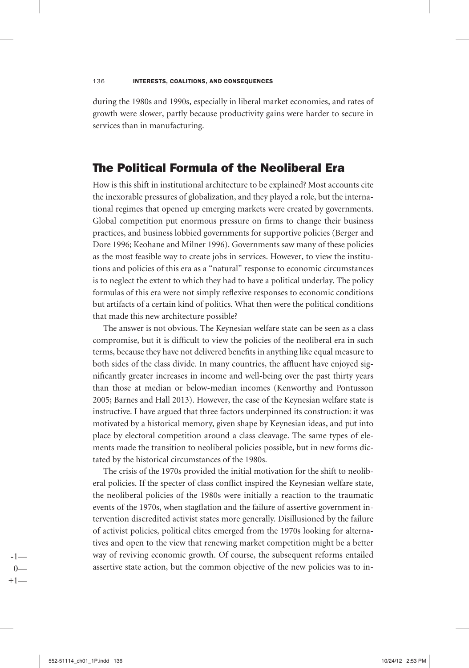during the 1980s and 1990s, especially in liberal market economies, and rates of growth were slower, partly because productivity gains were harder to secure in services than in manufacturing.

## **The Political Formula of the Neoliberal Era**

How is this shift in institutional architecture to be explained? Most accounts cite the inexorable pressures of globalization, and they played a role, but the international regimes that opened up emerging markets were created by governments. Global competition put enormous pressure on firms to change their business practices, and business lobbied governments for supportive policies (Berger and Dore 1996; Keohane and Milner 1996). Governments saw many of these policies as the most feasible way to create jobs in services. However, to view the institutions and policies of this era as a "natural" response to economic circumstances is to neglect the extent to which they had to have a political underlay. The policy formulas of this era were not simply reflexive responses to economic conditions but artifacts of a certain kind of politics. What then were the political conditions that made this new architecture possible?

The answer is not obvious. The Keynesian welfare state can be seen as a class compromise, but it is difficult to view the policies of the neoliberal era in such terms, because they have not delivered benefits in anything like equal measure to both sides of the class divide. In many countries, the affluent have enjoyed significantly greater increases in income and well-being over the past thirty years than those at median or below- median incomes (Kenworthy and Pontusson 2005; Barnes and Hall 2013). However, the case of the Keynesian welfare state is instructive. I have argued that three factors underpinned its construction: it was motivated by a historical memory, given shape by Keynesian ideas, and put into place by electoral competition around a class cleavage. The same types of elements made the transition to neoliberal policies possible, but in new forms dictated by the historical circumstances of the 1980s.

The crisis of the 1970s provided the initial motivation for the shift to neoliberal policies. If the specter of class conflict inspired the Keynesian welfare state, the neoliberal policies of the 1980s were initially a reaction to the traumatic events of the 1970s, when stagflation and the failure of assertive government intervention discredited activist states more generally. Disillusioned by the failure of activist policies, political elites emerged from the 1970s looking for alternatives and open to the view that renewing market competition might be a better way of reviving economic growth. Of course, the subsequent reforms entailed assertive state action, but the common objective of the new policies was to in-

-1—  $0 +1-$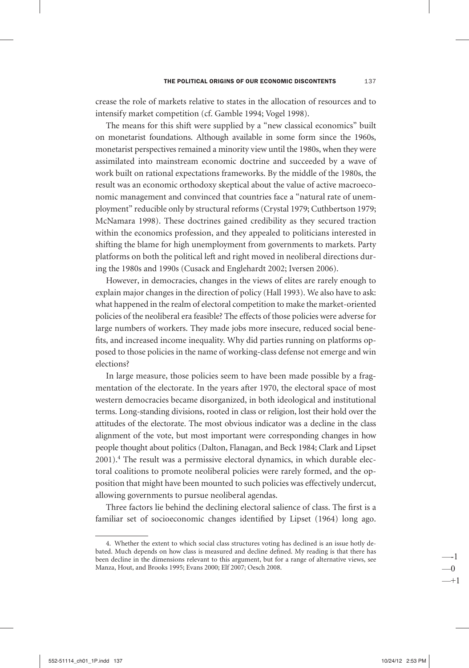## **THE POLITICAL ORIGINS OF OUR ECONOMIC DISCONTENTS** 137

crease the role of markets relative to states in the allocation of resources and to intensify market competition (cf. Gamble 1994; Vogel 1998).

The means for this shift were supplied by a "new classical economics" built on monetarist foundations. Although available in some form since the 1960s, monetarist perspectives remained a minority view until the 1980s, when they were assimilated into mainstream economic doctrine and succeeded by a wave of work built on rational expectations frameworks. By the middle of the 1980s, the result was an economic orthodoxy skeptical about the value of active macroeconomic management and convinced that countries face a "natural rate of unemployment" reducible only by structural reforms (Crystal 1979; Cuthbertson 1979; McNamara 1998). These doctrines gained credibility as they secured traction within the economics profession, and they appealed to politicians interested in shifting the blame for high unemployment from governments to markets. Party platforms on both the political left and right moved in neoliberal directions during the 1980s and 1990s (Cusack and Englehardt 2002; Iversen 2006).

However, in democracies, changes in the views of elites are rarely enough to explain major changes in the direction of policy (Hall 1993). We also have to ask: what happened in the realm of electoral competition to make the market- oriented policies of the neoliberal era feasible? The effects of those policies were adverse for large numbers of workers. They made jobs more insecure, reduced social benefits, and increased income inequality. Why did parties running on platforms opposed to those policies in the name of working- class defense not emerge and win elections?

In large measure, those policies seem to have been made possible by a fragmentation of the electorate. In the years after 1970, the electoral space of most western democracies became disorganized, in both ideological and institutional terms. Long- standing divisions, rooted in class or religion, lost their hold over the attitudes of the electorate. The most obvious indicator was a decline in the class alignment of the vote, but most important were corresponding changes in how people thought about politics (Dalton, Flanagan, and Beck 1984; Clark and Lipset 2001).4 The result was a permissive electoral dynamics, in which durable electoral coalitions to promote neoliberal policies were rarely formed, and the opposition that might have been mounted to such policies was effectively undercut, allowing governments to pursue neoliberal agendas.

Three factors lie behind the declining electoral salience of class. The first is a familiar set of socioeconomic changes identified by Lipset (1964) long ago.

<sup>4.</sup> Whether the extent to which social class structures voting has declined is an issue hotly debated. Much depends on how class is measured and decline defined. My reading is that there has been decline in the dimensions relevant to this argument, but for a range of alternative views, see Manza, Hout, and Brooks 1995; Evans 2000; Elf 2007; Oesch 2008.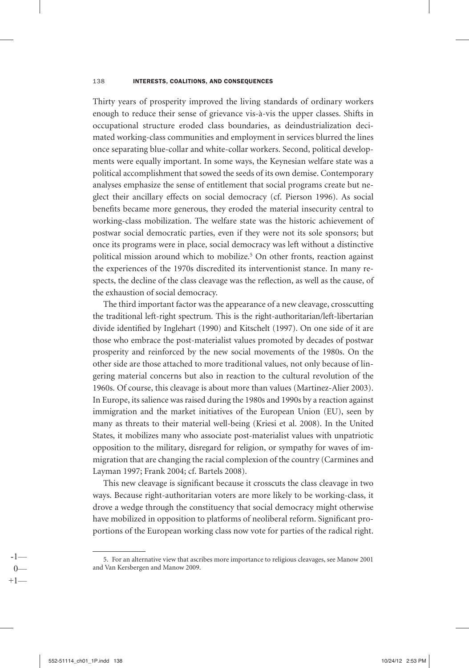Thirty years of prosperity improved the living standards of ordinary workers enough to reduce their sense of grievance vis-à- vis the upper classes. Shifts in occupational structure eroded class boundaries, as deindustrialization decimated working-class communities and employment in services blurred the lines once separating blue-collar and white-collar workers. Second, political developments were equally important. In some ways, the Keynesian welfare state was a political accomplishment that sowed the seeds of its own demise. Contemporary analyses emphasize the sense of entitlement that social programs create but neglect their ancillary effects on social democracy (cf. Pierson 1996). As social benefits became more generous, they eroded the material insecurity central to working- class mobilization. The welfare state was the historic achievement of postwar social democratic parties, even if they were not its sole sponsors; but once its programs were in place, social democracy was left without a distinctive political mission around which to mobilize.<sup>5</sup> On other fronts, reaction against the experiences of the 1970s discredited its interventionist stance. In many respects, the decline of the class cleavage was the reflection, as well as the cause, of the exhaustion of social democracy.

The third important factor was the appearance of a new cleavage, crosscutting the traditional left-right spectrum. This is the right-authoritarian/left-libertarian divide identified by Inglehart (1990) and Kitschelt (1997). On one side of it are those who embrace the post-materialist values promoted by decades of postwar prosperity and reinforced by the new social movements of the 1980s. On the other side are those attached to more traditional values, not only because of lingering material concerns but also in reaction to the cultural revolution of the 1960s. Of course, this cleavage is about more than values (Martinez- Alier 2003). In Europe, its salience was raised during the 1980s and 1990s by a reaction against immigration and the market initiatives of the European Union (EU), seen by many as threats to their material well- being (Kriesi et al. 2008). In the United States, it mobilizes many who associate post-materialist values with unpatriotic opposition to the military, disregard for religion, or sympathy for waves of immigration that are changing the racial complexion of the country (Carmines and Layman 1997; Frank 2004; cf. Bartels 2008).

This new cleavage is significant because it crosscuts the class cleavage in two ways. Because right-authoritarian voters are more likely to be working-class, it drove a wedge through the constituency that social democracy might otherwise have mobilized in opposition to platforms of neoliberal reform. Significant proportions of the European working class now vote for parties of the radical right.

<sup>5.</sup> For an alternative view that ascribes more importance to religious cleavages, see Manow 2001 and Van Kersbergen and Manow 2009.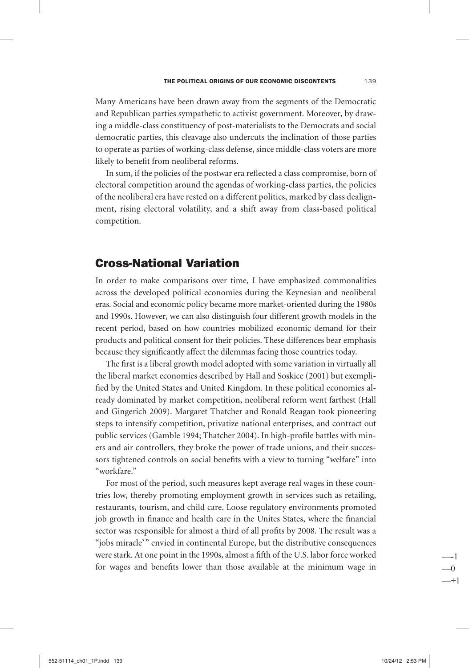Many Americans have been drawn away from the segments of the Democratic and Republican parties sympathetic to activist government. Moreover, by drawing a middle-class constituency of post-materialists to the Democrats and social demo cratic parties, this cleavage also undercuts the inclination of those parties to operate as parties of working- class defense, since middle- class voters are more likely to benefit from neoliberal reforms.

In sum, if the policies of the postwar era reflected a class compromise, born of electoral competition around the agendas of working- class parties, the policies of the neoliberal era have rested on a different politics, marked by class dealignment, rising electoral volatility, and a shift away from class-based political competition.

## **Cross- National Variation**

In order to make comparisons over time, I have emphasized commonalities across the developed political economies during the Keynesian and neoliberal eras. Social and economic policy became more market- oriented during the 1980s and 1990s. However, we can also distinguish four different growth models in the recent period, based on how countries mobilized economic demand for their products and political consent for their policies. These differences bear emphasis because they significantly affect the dilemmas facing those countries today.

The first is a liberal growth model adopted with some variation in virtually all the liberal market economies described by Hall and Soskice (2001) but exemplified by the United States and United Kingdom. In these political economies already dominated by market competition, neoliberal reform went farthest (Hall and Gingerich 2009). Margaret Thatcher and Ronald Reagan took pioneering steps to intensify competition, privatize national enterprises, and contract out public services (Gamble 1994; Thatcher 2004). In high-profile battles with miners and air controllers, they broke the power of trade unions, and their successors tightened controls on social benefits with a view to turning "welfare" into "workfare."

For most of the period, such measures kept average real wages in these countries low, thereby promoting employment growth in services such as retailing, restaurants, tourism, and child care. Loose regulatory environments promoted job growth in finance and health care in the Unites States, where the financial sector was responsible for almost a third of all profits by 2008. The result was a "jobs miracle'" envied in continental Europe, but the distributive consequences were stark. At one point in the 1990s, almost a fifth of the U.S. labor force worked for wages and benefits lower than those available at the minimum wage in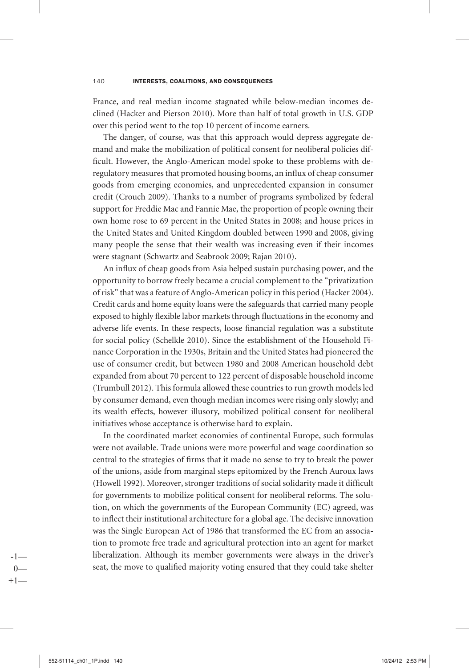France, and real median income stagnated while below-median incomes declined (Hacker and Pierson 2010). More than half of total growth in U.S. GDP over this period went to the top 10 percent of income earners.

The danger, of course, was that this approach would depress aggregate demand and make the mobilization of political consent for neoliberal policies difficult. However, the Anglo-American model spoke to these problems with deregulatory measures that promoted housing booms, an influx of cheap consumer goods from emerging economies, and unprecedented expansion in consumer credit (Crouch 2009). Thanks to a number of programs symbolized by federal support for Freddie Mac and Fannie Mae, the proportion of people owning their own home rose to 69 percent in the United States in 2008; and house prices in the United States and United Kingdom doubled between 1990 and 2008, giving many people the sense that their wealth was increasing even if their incomes were stagnant (Schwartz and Seabrook 2009; Rajan 2010).

An influx of cheap goods from Asia helped sustain purchasing power, and the opportunity to borrow freely became a crucial complement to the "privatization of risk" that was a feature of Anglo- American policy in this period (Hacker 2004). Credit cards and home equity loans were the safeguards that carried many people exposed to highly flexible labor markets through fluctuations in the economy and adverse life events. In these respects, loose financial regulation was a substitute for social policy (Schelkle 2010). Since the establishment of the Household Finance Corporation in the 1930s, Britain and the United States had pioneered the use of consumer credit, but between 1980 and 2008 American household debt expanded from about 70 percent to 122 percent of disposable household income (Trumbull 2012). This formula allowed these countries to run growth models led by consumer demand, even though median incomes were rising only slowly; and its wealth effects, however illusory, mobilized political consent for neoliberal initiatives whose acceptance is otherwise hard to explain.

In the coordinated market economies of continental Europe, such formulas were not available. Trade unions were more powerful and wage coordination so central to the strategies of firms that it made no sense to try to break the power of the unions, aside from marginal steps epitomized by the French Auroux laws (Howell 1992). Moreover, stronger traditions of social solidarity made it difficult for governments to mobilize political consent for neoliberal reforms. The solution, on which the governments of the European Community (EC) agreed, was to inflect their institutional architecture for a global age. The decisive innovation was the Single European Act of 1986 that transformed the EC from an association to promote free trade and agricultural protection into an agent for market liberalization. Although its member governments were always in the driver's seat, the move to qualified majority voting ensured that they could take shelter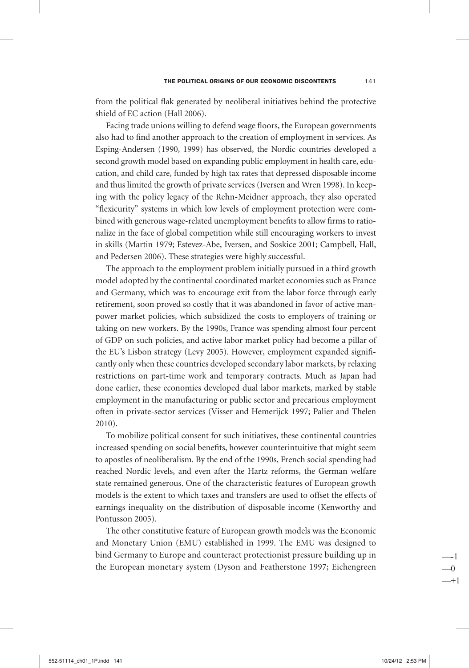from the political flak generated by neoliberal initiatives behind the protective shield of EC action (Hall 2006).

Facing trade unions willing to defend wage floors, the European governments also had to find another approach to the creation of employment in services. As Esping- Andersen (1990, 1999) has observed, the Nordic countries developed a second growth model based on expanding public employment in health care, education, and child care, funded by high tax rates that depressed disposable income and thus limited the growth of private services (Iversen and Wren 1998). In keeping with the policy legacy of the Rehn- Meidner approach, they also operated "flexicurity" systems in which low levels of employment protection were combined with generous wage-related unemployment benefits to allow firms to rationalize in the face of global competition while still encouraging workers to invest in skills (Martin 1979; Estevez- Abe, Iversen, and Soskice 2001; Campbell, Hall, and Pedersen 2006). These strategies were highly successful.

The approach to the employment problem initially pursued in a third growth model adopted by the continental coordinated market economies such as France and Germany, which was to encourage exit from the labor force through early retirement, soon proved so costly that it was abandoned in favor of active manpower market policies, which subsidized the costs to employers of training or taking on new workers. By the 1990s, France was spending almost four percent of GDP on such policies, and active labor market policy had become a pillar of the EU's Lisbon strategy (Levy 2005). However, employment expanded significantly only when these countries developed secondary labor markets, by relaxing restrictions on part-time work and temporary contracts. Much as Japan had done earlier, these economies developed dual labor markets, marked by stable employment in the manufacturing or public sector and precarious employment often in private-sector services (Visser and Hemerijck 1997; Palier and Thelen 2010).

To mobilize political consent for such initiatives, these continental countries increased spending on social benefits, however counterintuitive that might seem to apostles of neoliberalism. By the end of the 1990s, French social spending had reached Nordic levels, and even after the Hartz reforms, the German welfare state remained generous. One of the characteristic features of European growth models is the extent to which taxes and transfers are used to offset the effects of earnings inequality on the distribution of disposable income (Kenworthy and Pontusson 2005).

The other constitutive feature of European growth models was the Economic and Monetary Union (EMU) established in 1999. The EMU was designed to bind Germany to Europe and counteract protectionist pressure building up in the European monetary system (Dyson and Featherstone 1997; Eichengreen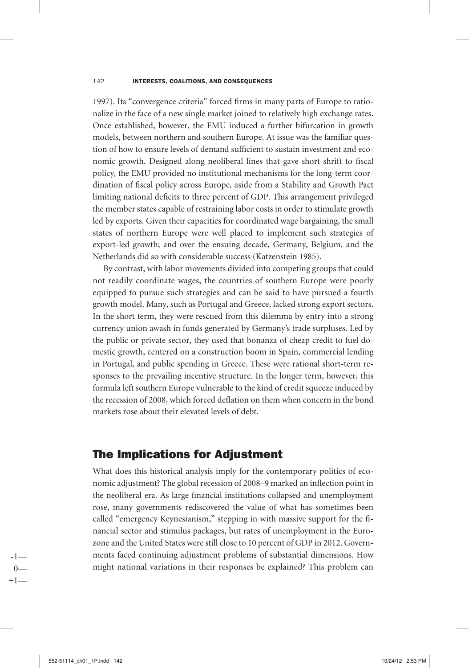1997). Its "convergence criteria" forced firms in many parts of Europe to rationalize in the face of a new single market joined to relatively high exchange rates. Once established, however, the EMU induced a further bifurcation in growth models, between northern and southern Europe. At issue was the familiar question of how to ensure levels of demand sufficient to sustain investment and economic growth. Designed along neoliberal lines that gave short shrift to fiscal policy, the EMU provided no institutional mechanisms for the long- term coordination of fiscal policy across Europe, aside from a Stability and Growth Pact limiting national deficits to three percent of GDP. This arrangement privileged the member states capable of restraining labor costs in order to stimulate growth led by exports. Given their capacities for coordinated wage bargaining, the small states of northern Europe were well placed to implement such strategies of export-led growth; and over the ensuing decade, Germany, Belgium, and the Netherlands did so with considerable success (Katzenstein 1985).

By contrast, with labor movements divided into competing groups that could not readily coordinate wages, the countries of southern Europe were poorly equipped to pursue such strategies and can be said to have pursued a fourth growth model. Many, such as Portugal and Greece, lacked strong export sectors. In the short term, they were rescued from this dilemma by entry into a strong currency union awash in funds generated by Germany's trade surpluses. Led by the public or private sector, they used that bonanza of cheap credit to fuel domestic growth, centered on a construction boom in Spain, commercial lending in Portugal, and public spending in Greece. These were rational short- term responses to the prevailing incentive structure. In the longer term, however, this formula left southern Europe vulnerable to the kind of credit squeeze induced by the recession of 2008, which forced deflation on them when concern in the bond markets rose about their elevated levels of debt.

## **The Implications for Adjustment**

What does this historical analysis imply for the contemporary politics of economic adjustment? The global recession of 2008–9 marked an inflection point in the neoliberal era. As large financial institutions collapsed and unemployment rose, many governments rediscovered the value of what has sometimes been called "emergency Keynesianism," stepping in with massive support for the financial sector and stimulus packages, but rates of unemployment in the Eurozone and the United States were still close to 10 percent of GDP in 2012. Governments faced continuing adjustment problems of substantial dimensions. How might national variations in their responses be explained? This problem can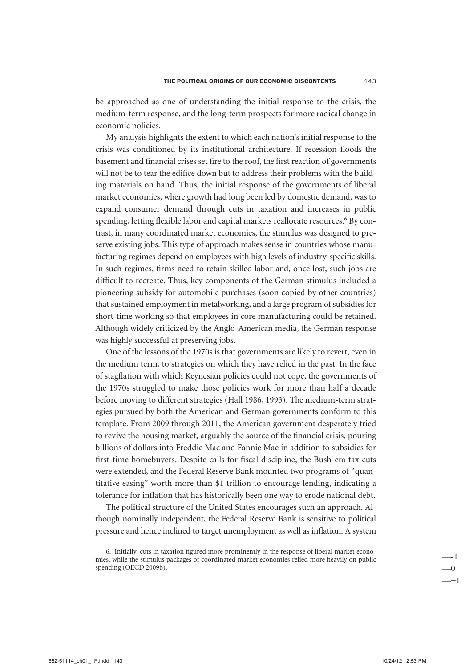be approached as one of understanding the initial response to the crisis, the medium- term response, and the long- term prospects for more radical change in economic policies.

My analysis highlights the extent to which each nation's initial response to the crisis was conditioned by its institutional architecture. If recession floods the basement and financial crises set fire to the roof, the first reaction of governments will not be to tear the edifice down but to address their problems with the building materials on hand. Thus, the initial response of the governments of liberal market economies, where growth had long been led by domestic demand, was to expand consumer demand through cuts in taxation and increases in public spending, letting flexible labor and capital markets reallocate resources.<sup>6</sup> By contrast, in many coordinated market economies, the stimulus was designed to preserve existing jobs. This type of approach makes sense in countries whose manufacturing regimes depend on employees with high levels of industry-specific skills. In such regimes, firms need to retain skilled labor and, once lost, such jobs are difficult to recreate. Thus, key components of the German stimulus included a pioneering subsidy for automobile purchases (soon copied by other countries) that sustained employment in metalworking, and a large program of subsidies for short- time working so that employees in core manufacturing could be retained. Although widely criticized by the Anglo- American media, the German response was highly successful at preserving jobs.

One of the lessons of the 1970s is that governments are likely to revert, even in the medium term, to strategies on which they have relied in the past. In the face of stagflation with which Keynesian policies could not cope, the governments of the 1970s struggled to make those policies work for more than half a decade before moving to different strategies (Hall 1986, 1993). The medium- term strategies pursued by both the American and German governments conform to this template. From 2009 through 2011, the American government desperately tried to revive the housing market, arguably the source of the financial crisis, pouring billions of dollars into Freddie Mac and Fannie Mae in addition to subsidies for first-time homebuyers. Despite calls for fiscal discipline, the Bush-era tax cuts were extended, and the Federal Reserve Bank mounted two programs of "quantitative easing" worth more than \$1 trillion to encourage lending, indicating a tolerance for inflation that has historically been one way to erode national debt.

The political structure of the United States encourages such an approach. Although nominally independent, the Federal Reserve Bank is sensitive to political pressure and hence inclined to target unemployment as well as inflation. A system

<sup>6.</sup> Initially, cuts in taxation figured more prominently in the response of liberal market economies, while the stimulus packages of coordinated market economies relied more heavily on public spending (OECD 2009b).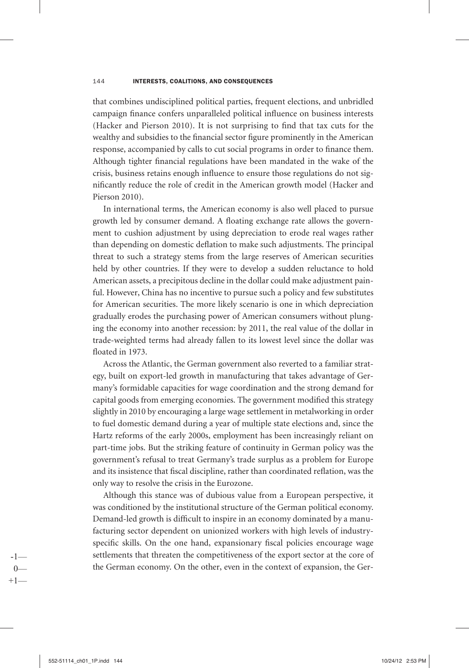that combines undisciplined political parties, frequent elections, and unbridled campaign finance confers unparalleled political influence on business interests (Hacker and Pierson 2010). It is not surprising to find that tax cuts for the wealthy and subsidies to the financial sector figure prominently in the American response, accompanied by calls to cut social programs in order to finance them. Although tighter financial regulations have been mandated in the wake of the crisis, business retains enough influence to ensure those regulations do not significantly reduce the role of credit in the American growth model (Hacker and Pierson 2010).

In international terms, the American economy is also well placed to pursue growth led by consumer demand. A floating exchange rate allows the government to cushion adjustment by using depreciation to erode real wages rather than depending on domestic deflation to make such adjustments. The principal threat to such a strategy stems from the large reserves of American securities held by other countries. If they were to develop a sudden reluctance to hold American assets, a precipitous decline in the dollar could make adjustment painful. However, China has no incentive to pursue such a policy and few substitutes for American securities. The more likely scenario is one in which depreciation gradually erodes the purchasing power of American consumers without plunging the economy into another recession: by 2011, the real value of the dollar in trade- weighted terms had already fallen to its lowest level since the dollar was floated in 1973.

Across the Atlantic, the German government also reverted to a familiar strategy, built on export- led growth in manufacturing that takes advantage of Germany's formidable capacities for wage coordination and the strong demand for capital goods from emerging economies. The government modified this strategy slightly in 2010 by encouraging a large wage settlement in metalworking in order to fuel domestic demand during a year of multiple state elections and, since the Hartz reforms of the early 2000s, employment has been increasingly reliant on part- time jobs. But the striking feature of continuity in German policy was the government's refusal to treat Germany's trade surplus as a problem for Europe and its insistence that fiscal discipline, rather than coordinated reflation, was the only way to resolve the crisis in the Eurozone.

Although this stance was of dubious value from a European perspective, it was conditioned by the institutional structure of the German political economy. Demand-led growth is difficult to inspire in an economy dominated by a manufacturing sector dependent on unionized workers with high levels of industryspecific skills. On the one hand, expansionary fiscal policies encourage wage settlements that threaten the competitiveness of the export sector at the core of the German economy. On the other, even in the context of expansion, the Ger-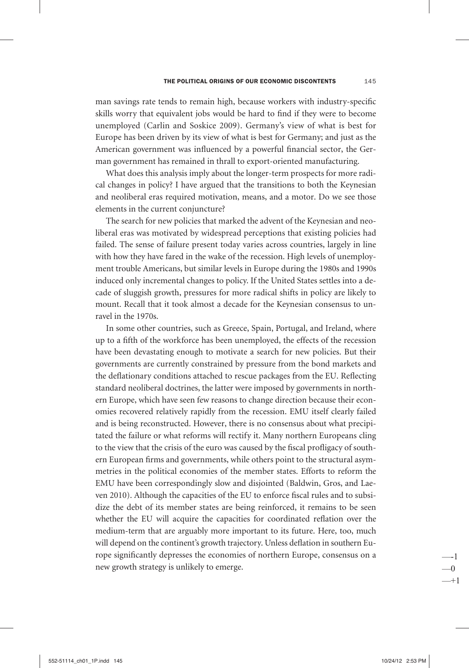man savings rate tends to remain high, because workers with industry-specific skills worry that equivalent jobs would be hard to find if they were to become unemployed (Carlin and Soskice 2009). Germany's view of what is best for Europe has been driven by its view of what is best for Germany; and just as the American government was influenced by a powerful financial sector, the German government has remained in thrall to export- oriented manufacturing.

What does this analysis imply about the longer- term prospects for more radical changes in policy? I have argued that the transitions to both the Keynesian and neoliberal eras required motivation, means, and a motor. Do we see those elements in the current conjuncture?

The search for new policies that marked the advent of the Keynesian and neoliberal eras was motivated by widespread perceptions that existing policies had failed. The sense of failure present today varies across countries, largely in line with how they have fared in the wake of the recession. High levels of unemployment trouble Americans, but similar levels in Europe during the 1980s and 1990s induced only incremental changes to policy. If the United States settles into a decade of sluggish growth, pressures for more radical shifts in policy are likely to mount. Recall that it took almost a decade for the Keynesian consensus to unravel in the 1970s.

In some other countries, such as Greece, Spain, Portugal, and Ireland, where up to a fifth of the workforce has been unemployed, the effects of the recession have been devastating enough to motivate a search for new policies. But their governments are currently constrained by pressure from the bond markets and the deflationary conditions attached to rescue packages from the EU. Reflecting standard neoliberal doctrines, the latter were imposed by governments in northern Europe, which have seen few reasons to change direction because their economies recovered relatively rapidly from the recession. EMU itself clearly failed and is being reconstructed. However, there is no consensus about what precipitated the failure or what reforms will rectify it. Many northern Europeans cling to the view that the crisis of the euro was caused by the fiscal profligacy of southern European firms and governments, while others point to the structural asymmetries in the political economies of the member states. Efforts to reform the EMU have been correspondingly slow and disjointed (Baldwin, Gros, and Laeven 2010). Although the capacities of the EU to enforce fiscal rules and to subsidize the debt of its member states are being reinforced, it remains to be seen whether the EU will acquire the capacities for coordinated reflation over the medium- term that are arguably more important to its future. Here, too, much will depend on the continent's growth trajectory. Unless deflation in southern Europe significantly depresses the economies of northern Europe, consensus on a new growth strategy is unlikely to emerge.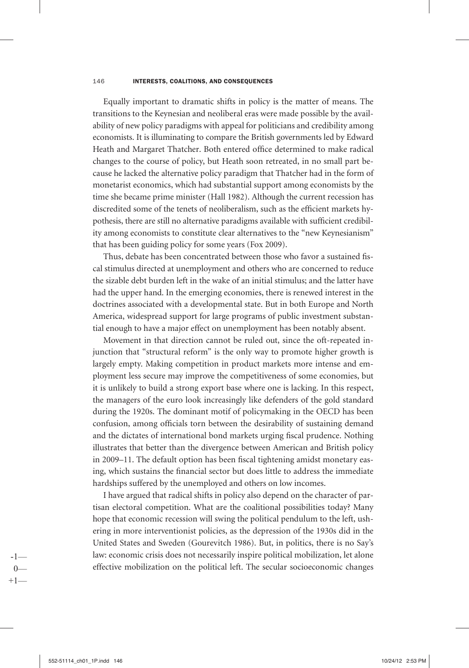Equally important to dramatic shifts in policy is the matter of means. The transitions to the Keynesian and neoliberal eras were made possible by the availability of new policy paradigms with appeal for politicians and credibility among economists. It is illuminating to compare the British governments led by Edward Heath and Margaret Thatcher. Both entered office determined to make radical changes to the course of policy, but Heath soon retreated, in no small part because he lacked the alternative policy paradigm that Thatcher had in the form of monetarist economics, which had substantial support among economists by the time she became prime minister (Hall 1982). Although the current recession has discredited some of the tenets of neoliberalism, such as the efficient markets hypothesis, there are still no alternative paradigms available with sufficient credibility among economists to constitute clear alternatives to the "new Keynesianism" that has been guiding policy for some years (Fox 2009).

Thus, debate has been concentrated between those who favor a sustained fiscal stimulus directed at unemployment and others who are concerned to reduce the sizable debt burden left in the wake of an initial stimulus; and the latter have had the upper hand. In the emerging economies, there is renewed interest in the doctrines associated with a developmental state. But in both Europe and North America, widespread support for large programs of public investment substantial enough to have a major effect on unemployment has been notably absent.

Movement in that direction cannot be ruled out, since the oft-repeated injunction that "structural reform" is the only way to promote higher growth is largely empty. Making competition in product markets more intense and employment less secure may improve the competitiveness of some economies, but it is unlikely to build a strong export base where one is lacking. In this respect, the managers of the euro look increasingly like defenders of the gold standard during the 1920s. The dominant motif of policymaking in the OECD has been confusion, among officials torn between the desirability of sustaining demand and the dictates of international bond markets urging fiscal prudence. Nothing illustrates that better than the divergence between American and British policy in 2009–11. The default option has been fiscal tightening amidst monetary easing, which sustains the financial sector but does little to address the immediate hardships suffered by the unemployed and others on low incomes.

I have argued that radical shifts in policy also depend on the character of partisan electoral competition. What are the coalitional possibilities today? Many hope that economic recession will swing the political pendulum to the left, ushering in more interventionist policies, as the depression of the 1930s did in the United States and Sweden (Gourevitch 1986). But, in politics, there is no Say's law: economic crisis does not necessarily inspire political mobilization, let alone effective mobilization on the political left. The secular socioeconomic changes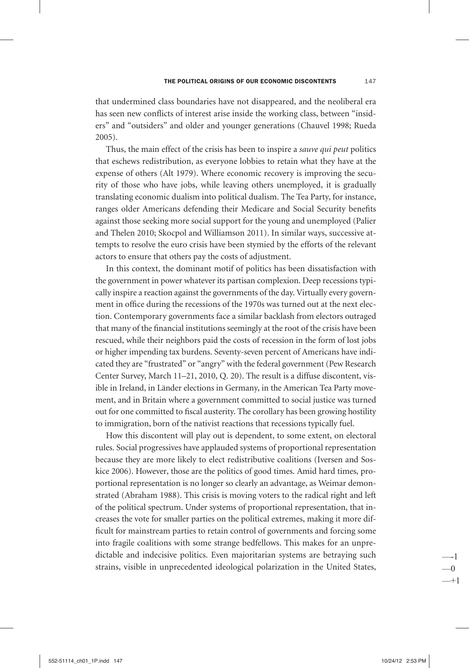that undermined class boundaries have not disappeared, and the neoliberal era has seen new conflicts of interest arise inside the working class, between "insiders" and "outsiders" and older and younger generations (Chauvel 1998; Rueda 2005).

Thus, the main effect of the crisis has been to inspire a *sauve qui peut* politics that eschews redistribution, as everyone lobbies to retain what they have at the expense of others (Alt 1979). Where economic recovery is improving the security of those who have jobs, while leaving others unemployed, it is gradually translating economic dualism into political dualism. The Tea Party, for instance, ranges older Americans defending their Medicare and Social Security benefits against those seeking more social support for the young and unemployed (Palier and Thelen 2010; Skocpol and Williamson 2011). In similar ways, successive attempts to resolve the euro crisis have been stymied by the efforts of the relevant actors to ensure that others pay the costs of adjustment.

In this context, the dominant motif of politics has been dissatisfaction with the government in power whatever its partisan complexion. Deep recessions typically inspire a reaction against the governments of the day. Virtually every government in office during the recessions of the 1970s was turned out at the next election. Contemporary governments face a similar backlash from electors outraged that many of the financial institutions seemingly at the root of the crisis have been rescued, while their neighbors paid the costs of recession in the form of lost jobs or higher impending tax burdens. Seventy- seven percent of Americans have indicated they are "frustrated" or "angry" with the federal government (Pew Research Center Survey, March  $11-21$ , 2010, Q. 20). The result is a diffuse discontent, visible in Ireland, in Länder elections in Germany, in the American Tea Party movement, and in Britain where a government committed to social justice was turned out for one committed to fiscal austerity. The corollary has been growing hostility to immigration, born of the nativist reactions that recessions typically fuel.

How this discontent will play out is dependent, to some extent, on electoral rules. Social progressives have applauded systems of proportional representation because they are more likely to elect redistributive coalitions (Iversen and Soskice 2006). However, those are the politics of good times. Amid hard times, proportional representation is no longer so clearly an advantage, as Weimar demonstrated (Abraham 1988). This crisis is moving voters to the radical right and left of the political spectrum. Under systems of proportional representation, that increases the vote for smaller parties on the political extremes, making it more difficult for mainstream parties to retain control of governments and forcing some into fragile coalitions with some strange bedfellows. This makes for an unpredictable and indecisive politics. Even majoritarian systems are betraying such strains, visible in unprecedented ideological polarization in the United States,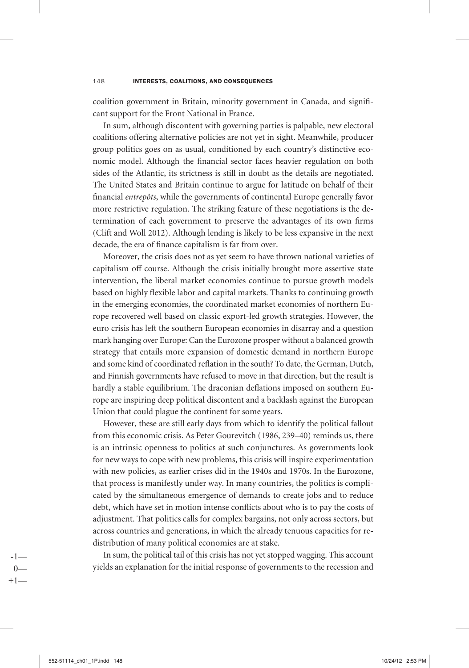coalition government in Britain, minority government in Canada, and significant support for the Front National in France.

In sum, although discontent with governing parties is palpable, new electoral coalitions offering alternative policies are not yet in sight. Meanwhile, producer group politics goes on as usual, conditioned by each country's distinctive economic model. Although the financial sector faces heavier regulation on both sides of the Atlantic, its strictness is still in doubt as the details are negotiated. The United States and Britain continue to argue for latitude on behalf of their financial *entrepôts*, while the governments of continental Europe generally favor more restrictive regulation. The striking feature of these negotiations is the determination of each government to preserve the advantages of its own firms (Clift and Woll 2012). Although lending is likely to be less expansive in the next decade, the era of finance capitalism is far from over.

Moreover, the crisis does not as yet seem to have thrown national varieties of capitalism off course. Although the crisis initially brought more assertive state intervention, the liberal market economies continue to pursue growth models based on highly flexible labor and capital markets. Thanks to continuing growth in the emerging economies, the coordinated market economies of northern Europe recovered well based on classic export- led growth strategies. However, the euro crisis has left the southern European economies in disarray and a question mark hanging over Europe: Can the Eurozone prosper without a balanced growth strategy that entails more expansion of domestic demand in northern Europe and some kind of coordinated reflation in the south? To date, the German, Dutch, and Finnish governments have refused to move in that direction, but the result is hardly a stable equilibrium. The draconian deflations imposed on southern Europe are inspiring deep political discontent and a backlash against the European Union that could plague the continent for some years.

However, these are still early days from which to identify the political fallout from this economic crisis. As Peter Gourevitch (1986, 239–40) reminds us, there is an intrinsic openness to politics at such conjunctures. As governments look for new ways to cope with new problems, this crisis will inspire experimentation with new policies, as earlier crises did in the 1940s and 1970s. In the Eurozone, that process is manifestly under way. In many countries, the politics is complicated by the simultaneous emergence of demands to create jobs and to reduce debt, which have set in motion intense conflicts about who is to pay the costs of adjustment. That politics calls for complex bargains, not only across sectors, but across countries and generations, in which the already tenuous capacities for redistribution of many political economies are at stake.

In sum, the political tail of this crisis has not yet stopped wagging. This account yields an explanation for the initial response of governments to the recession and